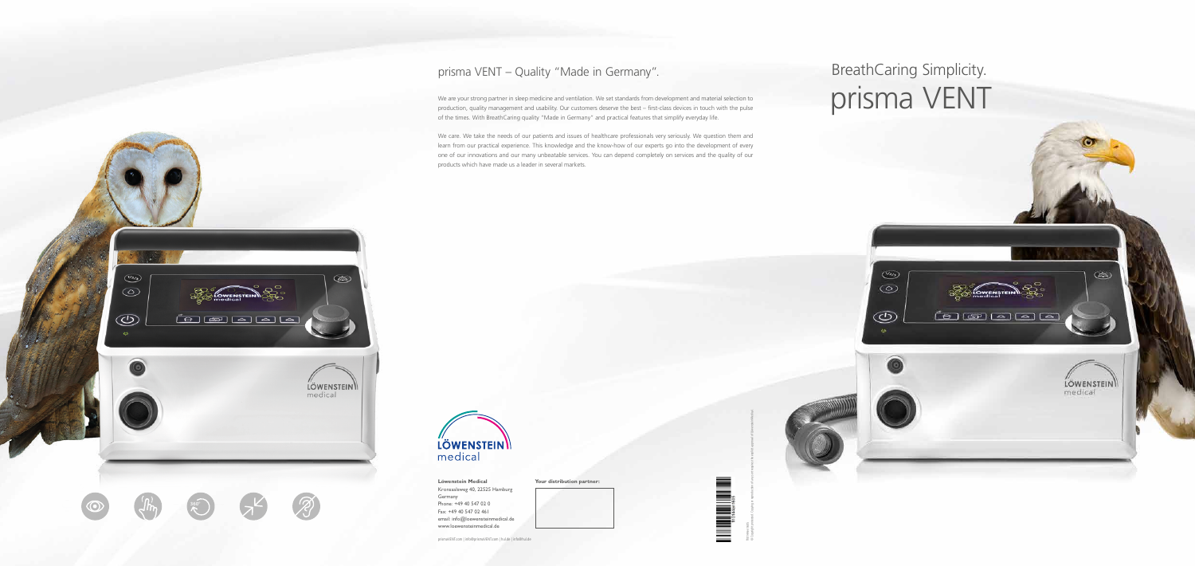**Your distribution partner:**



© Copyright protected. Copying or reproduction of any sort requires the explicit approval of Löwenstein Medical.

**360°**

أعالها الصالحا

 $\overline{(\sqrt{2/3})}$ 

∞

 $\circledcirc$ 

# BreathCaring Simplicity. prisma VENT

 $(2/2/3)$ 

 $\circledcirc$ 

 $\circledcirc$ 

<u> (a)</u> (a) (a) (a)

 $(25)$ 

LÖWENSTEIN

# prisma VENT – Quality "Made in Germany".

We are your strong partner in sleep medicine and ventilation. We set standards from development and material selection to production, quality management and usability. Our customers deserve the best – first-class devices in touch with the pulse of the times. With BreathCaring quality "Made in Germany" and practical features that simplify everyday life.

We care. We take the needs of our patients and issues of healthcare professionals very seriously. We question them and learn from our practical experience. This knowledge and the know-how of our experts go into the development of every one of our innovations and our many unbeatable services. You can depend completely on services and the quality of our products which have made us a leader in several markets.



 $\circledcirc$ 

**LÖWENSTEIN** medical

prismaVENT.com | info@prismaVENT.com | hul.de | info@hul.de

**Löwenstein Medical** Kronsaalsweg 40, 22525 Hamburg Germany Phone: +49 40 547 02 0 Fax: +49 40 547 02 461 email: info@loewensteinmedical.de www.loewensteinmedical.de